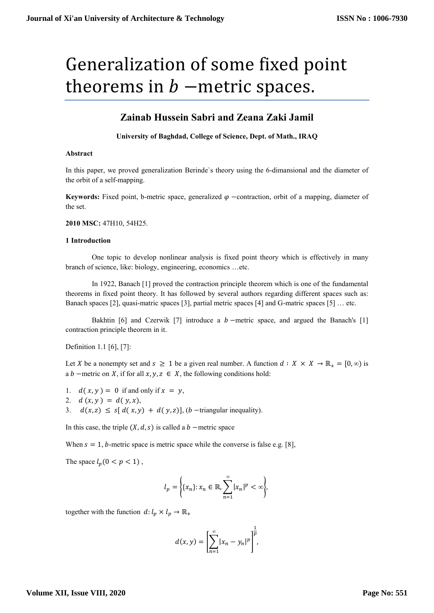# Generalization of some fixed point theorems in  $b$  –metric spaces.

# **Zainab Hussein Sabri and Zeana Zaki Jamil**

**University of Baghdad, College of Science, Dept. of Math., IRAQ**

#### **Abstract**

In this paper, we proved generalization Berinde`s theory using the 6-dimansional and the diameter of the orbit of a self-mapping.

**Keywords:** Fixed point, b-metric space, generalized  $\varphi$  -contraction, orbit of a mapping, diameter of the set.

#### **2010 MSC:** 47H10, 54H25.

#### **1 Introduction**

One topic to develop nonlinear analysis is fixed point theory which is effectively in many branch of science, like: biology, engineering, economics …etc.

In 1922, Banach [1] proved the contraction principle theorem which is one of the fundamental theorems in fixed point theory. It has followed by several authors regarding different spaces such as: Banach spaces [2], quasi-matric spaces [3], partial metric spaces [4] and G-matric spaces [5] … etc.

Bakhtin [6] and Czerwik [7] introduce a  $b$  –metric space, and argued the Banach's [1] contraction principle theorem in it.

Definition 1.1 [6], [7]:

Let X be a nonempty set and  $s \ge 1$  be a given real number. A function  $d: X \times X \to \mathbb{R}_+ = [0, \infty)$  is a b –metric on X, if for all  $x, y, z \in X$ , the following conditions hold:

1.  $d(x, y) = 0$  if and only if  $x = y$ ,

2. 
$$
d(x, y) = d(y, x)
$$
,

3.  $d(x, z) \leq s[d(x, y) + d(y, z)]$ , (*b* -triangular inequality).

In this case, the triple  $(X, d, s)$  is called a b –metric space

When  $s = 1$ , *b*-metric space is metric space while the converse is false e.g. [8],

The space  $l_p(0 < p < 1)$ ,

$$
l_p = \left\{ \{x_n\} : x_n \in \mathbb{R}, \sum_{n=1}^{\infty} |x_n|^p < \infty \right\},\
$$

together with the function  $d: l_p \times l_p \to \mathbb{R}_+$ 

$$
d(x,y) = \left[\sum_{n=1}^{\infty} |x_n - y_n|^p\right]^{\frac{1}{p}},
$$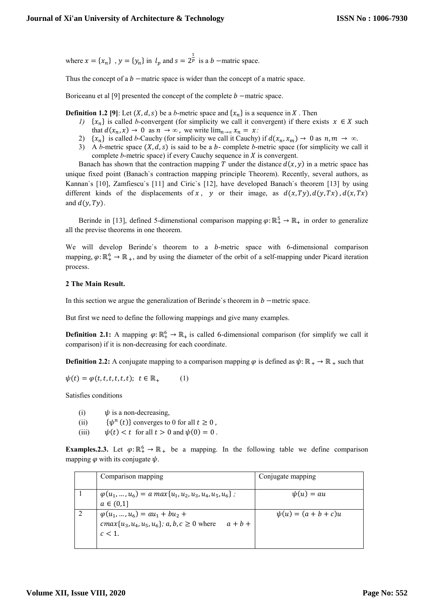where  $x = \{x_n\}$ ,  $y = \{y_n\}$  in  $l_p$  and  $s = 2^{\frac{1}{p}}$  is a b –matric space.

Thus the concept of a  $b$  -matric space is wider than the concept of a matric space.

Boriceanu et al [9] presented the concept of the complete  $b$  –matric space.

**Definition 1.2** [9]: Let  $(X, d, s)$  be a *b*-metric space and  $\{x_n\}$  is a sequence in X. Then

- *1)*  $\{x_n\}$  is called *b*-convergent (for simplicity we call it convergent) if there exists  $x \in X$  such that  $d(x_n, x) \to 0$  as  $n \to \infty$ , we write  $\lim_{n \to \infty} x_n = x$ .
- 2)  $\{x_n\}$  is called *b*-Cauchy (for simplicity we call it Cauchy) if  $d(x_n, x_m) \to 0$  as  $n, m \to \infty$ .
- 3) A *b*-metric space  $(X, d, s)$  is said to be a *b*-complete *b*-metric space (for simplicity we call it complete  $b$ -metric space) if every Cauchy sequence in  $X$  is convergent.

Banach has shown that the contraction mapping T under the distance  $d(x, y)$  in a metric space has unique fixed point (Banach`s contraction mapping principle Theorem). Recently, several authors, as Kannan`s [10], Zamfiescu`s [11] and Ciric`s [12], have developed Banach`s theorem [13] by using different kinds of the displacements of x, y or their image, as  $d(x, Ty)$ ,  $d(y, Tx)$ ,  $d(x, Tx)$ and  $d(y, Ty)$ .

Berinde in [13], defined 5-dimenstional comparison mapping  $\varphi: \mathbb{R}^5_+ \to \mathbb{R}_+$  in order to generalize all the previse theorems in one theorem.

We will develop Berinde's theorem to a  $b$ -metric space with 6-dimensional comparison mapping,  $\varphi: \mathbb{R}_+^6 \to \mathbb{R}_+$ , and by using the diameter of the orbit of a self-mapping under Picard iteration process.

#### **2 The Main Result.**

In this section we argue the generalization of Berinde's theorem in  $b$  –metric space.

But first we need to define the following mappings and give many examples.

**Definition 2.1:** A mapping  $\varphi: \mathbb{R}^6_+ \to \mathbb{R}^4$  is called 6-dimensional comparison (for simplify we call it comparison) if it is non-decreasing for each coordinate.

**Definition 2.2:** A conjugate mapping to a comparison mapping  $\varphi$  is defined as  $\psi: \mathbb{R}_+ \to \mathbb{R}_+$  such that

 $\psi(t) = \varphi(t, t, t, t, t, t); t \in \mathbb{R}_+$  (1)

Satisfies conditions

- (i)  $\psi$  is a non-decreasing.
- (ii)  $\{\psi^n(t)\}\$ converges to 0 for all  $t \geq 0$ ,
- (iii)  $\psi(t) < t$  for all  $t > 0$  and  $\psi(0) = 0$ .

**Examples.2.3.** Let  $\varphi: \mathbb{R}_+^6 \to \mathbb{R}_+$  be a mapping. In the following table we define comparison mapping  $\varphi$  with its conjugate  $\psi$ .

| Comparison mapping                                                                                                     | Conjugate mapping        |
|------------------------------------------------------------------------------------------------------------------------|--------------------------|
| $\varphi(u_1, , u_6) = a \max\{u_1, u_2, u_3, u_4, u_5, u_6\};$<br>$a \in (0,1]$                                       | $\psi(u) = au$           |
| $\varphi(u_1,,u_6) = au_1 + bu_2 +$<br>$cmax\{u_3, u_4, u_5, u_6\}$ ; a, b, c $\geq 0$ where<br>$a + b +$<br>$c < 1$ . | $\psi(u) = (a + b + c)u$ |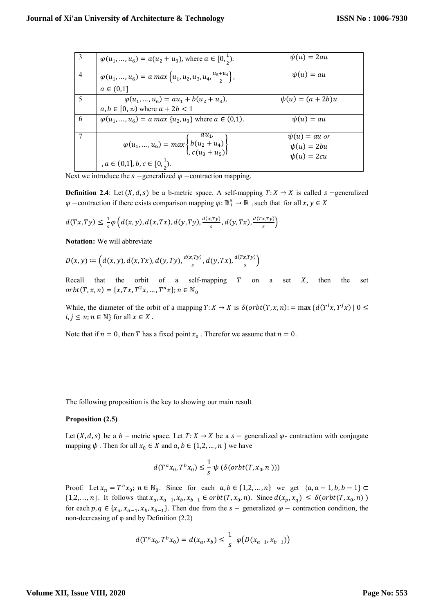|   | $\varphi(u_1, , u_6) = a(u_2 + u_3)$ , where $a \in [0, \frac{1}{2})$ .                     | $\psi(u) = 2au$       |
|---|---------------------------------------------------------------------------------------------|-----------------------|
| 4 | $\varphi(u_1,,u_6) = a \max\left\{u_1, u_2, u_3, u_4, \frac{u_5 + u_4}{2}\right\},$         | $\psi(u) = au$        |
|   | $a \in (0,1]$                                                                               |                       |
|   | $\varphi(u_1, , u_6) = au_1 + b(u_2 + u_3),$                                                | $\psi(u) = (a + 2b)u$ |
|   | $a, b \in [0, \infty)$ where $a + 2b < 1$                                                   |                       |
| 6 | $\varphi(u_1, , u_6) = a \max \{u_2, u_3\}$ where $a \in (0,1)$ .                           | $\psi(u) = au$        |
|   |                                                                                             | $\psi(u) = au$ or     |
|   | $\varphi(u_1, , u_6) = max \begin{cases} au_1, \\ b(u_2 + u_4) \\ c(u_3 + u_5) \end{cases}$ | $\psi(u) = 2bu$       |
|   |                                                                                             | $\psi(u) = 2cu$       |
|   | , $a \in (0,1], b, c \in [0, \frac{1}{2}).$                                                 |                       |

Next we introduce the  $s$  –generalized  $\varphi$  –contraction mapping.

**Definition 2.4**: Let  $(X, d, s)$  be a b-metric space. A self-mapping  $T: X \rightarrow X$  is called s -generalized  $\varphi$  -contraction if there exists comparison mapping  $\varphi: \mathbb{R}^6_+ \to \mathbb{R}$  such that for all

$$
d(Tx,Ty) \leq \frac{1}{s} \varphi\left(d(x,y),d(x,Tx),d(y,Ty),\frac{d(x,Ty)}{s},d(y,Tx),\frac{d(Tx,Ty)}{s}\right)
$$

**Notation:** We will abbreviate

$$
D(x,y) := \left(d(x,y), d(x,Tx), d(y,Ty), \frac{d(x,Ty)}{s}, d(y,Tx), \frac{d(x,Ty)}{s}\right)
$$

Recall that the orbit of a self-mapping  $T$  on a set  $X$ , then the set  $orbit(T, x, n) = {x, Tx, T^2x, ..., T^n}$ 

While, the diameter of the orbit of a mapping is  $i, j \leq n; n \in \mathbb{N}$  for all  $x \in X$ .

Note that if  $n = 0$ , then T has a fixed point  $x_0$ . Therefor we assume that  $n = 0$ .

The following proposition is the key to showing our main result

## **Proposition (2.5)**

Let  $(X, d, s)$  be a b – metric space. Let  $T: X \to X$  be a s – generalized  $\varphi$ - contraction with conjugate mapping  $\psi$  . Then for all  $x_0 \in X$  and  $a, b \in \{1, 2, ..., n\}$  we have

$$
d(T^a x_0, T^b x_0) \leq \frac{1}{s} \psi\left(\delta(\operatorname{orbit}(T, x_0, n))\right)
$$

Proof: Let  $x_n = T^n x_0$ ;  $n \in \mathbb{N}_0$ . Since for each  $a, b \in \{1, 2, ..., n\}$  we get  $\{a_n\}$  $\{1,2,\ldots,n\}$ . It follows that  $x_a, x_{a-1}, x_b, x_{b-1} \in orbt(T, x_0, n)$ . Since  $d(x_n, x_a) \leq \delta(orbit(T, x_0, n))$ for each  $p, q \in \{x_a, x_{a-1}, x_b, x_{b-1}\}\.$  Then due from the  $s$  – generalized  $\varphi$  – contraction condition, the non-decreasing of  $\varphi$  and by Definition (2.2)

$$
d(T^a x_0, T^b x_0) = d(x_a, x_b) \leq \frac{1}{s} \varphi\big(D(x_{a-1}, x_{b-1})\big)
$$

#### **Volume XII, Issue VIII, 2020**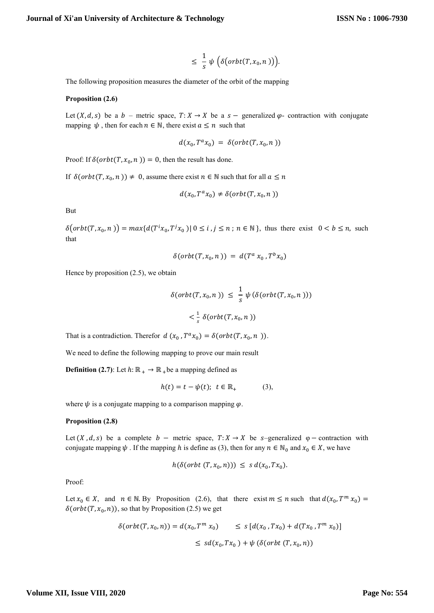$$
\leq \frac{1}{s}\psi\Big(\delta\big(\text{orbit}(T,x_0,n)\big)\Big).
$$

The following proposition measures the diameter of the orbit of the mapping

#### **Proposition (2.6)**

Let  $(X, d, s)$  be a b – metric space,  $T: X \to X$  be a s – generalized  $\varphi$ - contraction with conjugate mapping  $\psi$ , then for each  $n \in \mathbb{N}$ , there exist  $a \leq n$  such that

$$
d(x_0, T^a x_0) = \delta(\operatorname{orbit}(T, x_0, n))
$$

Proof: If  $\delta(\text{orbit}(T, x_0, n)) = 0$ , then the result has done.

If  $\delta(\text{orbit}(T, x_0, n)) \neq 0$ , assume there exist  $n \in \mathbb{N}$  such that for all

$$
d(x_0, T^a x_0) \neq \delta(\text{orbit}(T, x_0, n))
$$

But

 $\delta(\text{orbit}(T, x_0, n)) = \max\{d(T^i x_0, T^j x_0) | 0 \le i, j \le n; n \in \mathbb{N}\}\,$ , thus there exist  $0 < b \le n$ , such that

$$
\delta(\operatorname{orbt}(T, x_0, n)) = d(T^a x_0, T^b x_0)
$$

Hence by proposition (2.5), we obtain

$$
\delta(\operatorname{orbit}(T, x_0, n)) \leq \frac{1}{s} \psi(\delta(\operatorname{orbit}(T, x_0, n)))
$$
  

$$
< \frac{1}{s} \delta(\operatorname{orbit}(T, x_0, n))
$$

That is a contradiction. Therefor  $d(x_0, T^a x_0) = \delta(\sigma rbt(T, x_0, n))$ .

We need to define the following mapping to prove our main result

**Definition (2.7)**: Let  $h: \mathbb{R}_+ \to \mathbb{R}_+$  be a mapping defined as

$$
h(t) = t - \psi(t); \ t \in \mathbb{R}_+
$$
 (3),

where  $\psi$  is a conjugate mapping to a comparison mapping  $\varphi$ .

#### **Proposition (2.8)**

Let  $(X, d, s)$  be a complete  $b$  – metric space,  $T: X \to X$  be s-generalized  $\varphi$  – contraction with conjugate mapping  $\psi$ . If the mapping h is define as (3), then for any  $n \in \mathbb{N}_0$  and  $x_0 \in X$ , we have

$$
h(\delta(\text{orbit }(T, x_0, n))) \leq s \, d(x_0, Tx_0).
$$

Proof:

Let  $x_0 \in X$ , and  $n \in \mathbb{N}$ . By Proposition (2.6), that there exist  $m \le n$  such that  $d(x_0, T^m)$  $\delta(\text{orbit}(T, x_0, n))$ , so that by Proposition (2.5) we get

$$
\begin{aligned} \delta(\operatorname{orbt}(T, x_0, n)) &= d(x_0, T^m \, x_0) &\leq s \left[ d(x_0, T x_0) + d(T x_0, T^m \, x_0) \right] \\ &\leq s d(x_0, T x_0) + \psi \left( \delta(\operatorname{orbit}(T, x_0, n)) \right) \end{aligned}
$$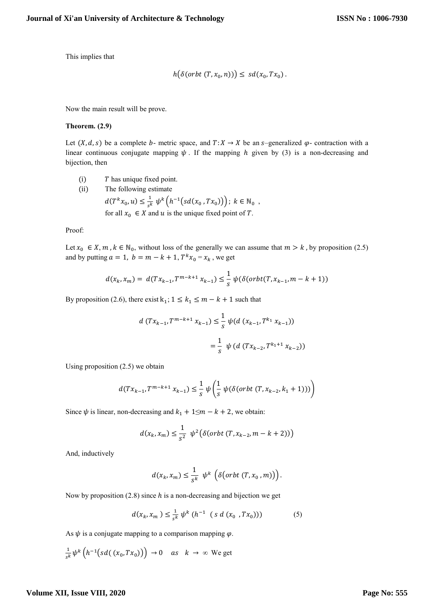This implies that

$$
h(\delta(\text{orbit }(T, x_0, n))) \leq sd(x_0, Tx_0).
$$

Now the main result will be prove.

#### **Theorem. (2.9)**

Let  $(X, d, s)$  be a complete b- metric space, and  $T: X \to X$  be an s-generalized  $\varphi$ - contraction with a linear continuous conjugate mapping  $\psi$ . If the mapping h given by (3) is a non-decreasing and bijection, then

- $(i)$  T has unique fixed point.
- (ii) The following estimate  $d(T^k x_0, u) \leq \frac{1}{4}$  $\frac{1}{s^k} \psi^k(h^{-1}(sd(x_0, Tx_0)))$ ;  $k \in \mathbb{N}_0$ , for all  $x_0 \in X$  and u is the unique fixed point of T.

Proof:

Let  $x_0 \in X$ ,  $m, k \in \mathbb{N}_0$ , without loss of the generally we can assume that  $m > k$ , by proposition (2.5) and by putting  $a = 1$ ,  $b = m - k + 1$ ,  $T^k x_0 = x_k$ , we get

$$
d(x_k, x_m) = d(Tx_{k-1}, T^{m-k+1}x_{k-1}) \le \frac{1}{s} \psi(\delta(\text{orbit}(T, x_{k-1}, m-k+1))
$$

By proposition (2.6), there exist  $k_1$ ;  $1 \le k_1 \le m - k + 1$  such that

$$
d(Tx_{k-1}, T^{m-k+1} x_{k-1}) \leq \frac{1}{s} \psi(d(x_{k-1}, T^{k_1} x_{k-1}))
$$
  
= 
$$
\frac{1}{s} \psi(d(Tx_{k-2}, T^{k_1+1} x_{k-2}))
$$

Using proposition (2.5) we obtain

$$
d(Tx_{k-1}, T^{m-k+1} x_{k-1}) \leq \frac{1}{s} \psi\left(\frac{1}{s} \psi(\delta(\text{orbit } (T, x_{k-2}, k_1 + 1)))\right)
$$

Since  $\psi$  is linear, non-decreasing and  $k_1 + 1 \le m - k + 2$ , we obtain:

$$
d(x_k, x_m) \le \frac{1}{s^2} \ \psi^2(\delta(\text{orbit } (T, x_{k-2}, m - k + 2)))
$$

And, inductively

$$
d(x_k,x_m)\leq \frac{1}{s^k} \ \psi^k\ \Big(\delta\big(\text{orbit}\,(T,x_0\,,m)\big)\Big).
$$

Now by proposition (2.8) since  $h$  is a non-decreasing and bijection we get

$$
d(x_k, x_m) \le \frac{1}{s^k} \psi^k \ (h^{-1} \ (s \ d \ (x_0 \ ,Tx_0))) \tag{5}
$$

As  $\psi$  is a conjugate mapping to a comparison mapping  $\varphi$ .

$$
\frac{1}{s^k}\psi^k\left(h^{-1}\big(sd\big((x_0,Tx_0)\big)\right)\to 0 \quad as \quad k\to\infty \text{ We get}
$$

## **Volume XII, Issue VIII, 2020**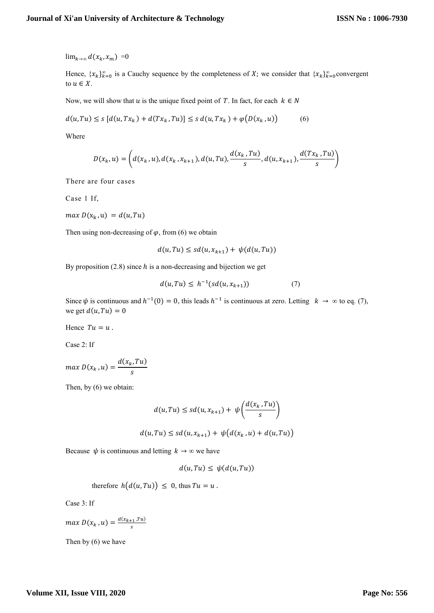$\lim_{k\to\infty} d(x_k, x_m) = 0$ 

Hence,  $\{x_k\}_{k=0}^{\infty}$  is a Cauchy sequence by the completeness of X; we consider that  $\{x_k\}_{k=0}^{\infty}$ convergent to  $u \in X$ .

Now, we will show that u is the unique fixed point of T. In fact, for each  $k \in N$ 

$$
d(u,Tu) \le s \left[ d(u,Tx_k) + d(Tx_k,Tu) \right] \le s \, d(u,Tx_k) + \varphi\big(D(x_k,u)\big) \tag{6}
$$

Where

$$
D(x_k, u) = \left( d(x_k, u), d(x_k, x_{k+1}), d(u, Tu), \frac{d(x_k, Tu)}{s}, d(u, x_{k+1}), \frac{d(Tx_k, Tu)}{s} \right)
$$

There are four cases

Case 1 If,

 $max D(x_k, u) = d(u, Tu)$ 

Then using non-decreasing of  $\varphi$ , from (6) we obtain

$$
d(u, Tu) \le sd(u, x_{k+1}) + \psi(d(u, Tu))
$$

By proposition  $(2.8)$  since h is a non-decreasing and bijection we get

$$
d(u, Tu) \leq h^{-1}(sd(u, x_{k+1})) \tag{7}
$$

Since  $\psi$  is continuous and  $h^{-1}(0) = 0$ , this leads  $h^{-1}$  is continuous at zero. Letting  $k \to \infty$  to eq. (7), we get  $d(u, Tu) = 0$ 

Hence  $Tu = u$ .

Case 2: If

$$
max\ D(x_k, u) = \frac{d(x_k, Tu)}{s}
$$

Then, by (6) we obtain:

$$
d(u,Tu) \le sd(u,x_{k+1}) + \psi\left(\frac{d(x_k,Tu)}{s}\right)
$$

$$
d(u, Tu) \le sd(u, x_{k+1}) + \psi(d(x_k, u) + d(u, Tu))
$$

Because  $\psi$  is continuous and letting  $k \to \infty$  we have

$$
d(u, Tu) \leq \psi(d(u, Tu))
$$

therefore  $h(d(u, Tu)) \leq 0$ , thus  $Tu = u$ .

Case 3: If

$$
\max D(x_k, u) = \frac{d(x_{k+1}, Tu)}{s}
$$

Then by (6) we have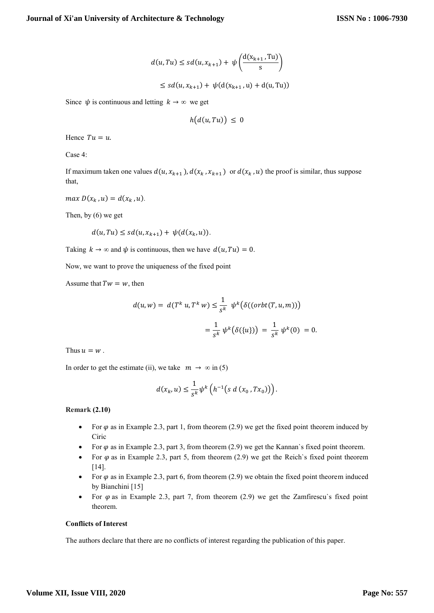$$
d(u,Tu) \le sd(u,x_{k+1}) + \psi\left(\frac{d(x_{k+1},Tu)}{s}\right)
$$

 $\leq sd(u,x_{k+1}) + \psi(d(x_{k+1}),$ 

Since  $\psi$  is continuous and letting  $k \to \infty$  we get

$$
h\bigl(d(u,Tu)\bigr)\,\leq\, 0
$$

Hence  $Tu = u$ .

Case 4:

If maximum taken one values  $d(u, x_{k+1})$ ,  $d(x_k, x_{k+1})$  or  $d(x_k, u)$  the proof is similar, thus suppose that,

 $max D(x_k, u) = d(x_k, u)$ .

Then, by (6) we get

$$
d(u, Tu) \le sd(u, x_{k+1}) + \psi(d(x_k, u)).
$$

Taking  $k \to \infty$  and  $\psi$  is continuous, then we have  $d(u, Tu) = 0$ .

Now, we want to prove the uniqueness of the fixed point

Assume that  $Tw = w$ , then

$$
d(u, w) = d(T^{k} u, T^{k} w) \le \frac{1}{s^{k}} \psi^{k}(\delta((orbit(T, u, m)))
$$
  
= 
$$
\frac{1}{s^{k}} \psi^{k}(\delta(\{u\})) = \frac{1}{s^{k}} \psi^{k}(0) = 0.
$$

Thus  $u = w$ .

In order to get the estimate (ii), we take  $m \to \infty$  in (5)

$$
d(x_k, u) \leq \frac{1}{s^k} \psi^k \left( h^{-1} \big( s \, d \left( x_0, T x_0 \right) \big) \right).
$$

**Remark (2.10)**

- For  $\varphi$  as in Example 2.3, part 1, from theorem (2.9) we get the fixed point theorem induced by Ciric
- For  $\varphi$  as in Example 2.3, part 3, from theorem (2.9) we get the Kannan's fixed point theorem.
- For  $\varphi$  as in Example 2.3, part 5, from theorem (2.9) we get the Reich's fixed point theorem [14].
- For  $\varphi$  as in Example 2.3, part 6, from theorem (2.9) we obtain the fixed point theorem induced by Bianchini [15]
- For  $\varphi$  as in Example 2.3, part 7, from theorem (2.9) we get the Zamfirescu's fixed point theorem.

#### **Conflicts of Interest**

The authors declare that there are no conflicts of interest regarding the publication of this paper.